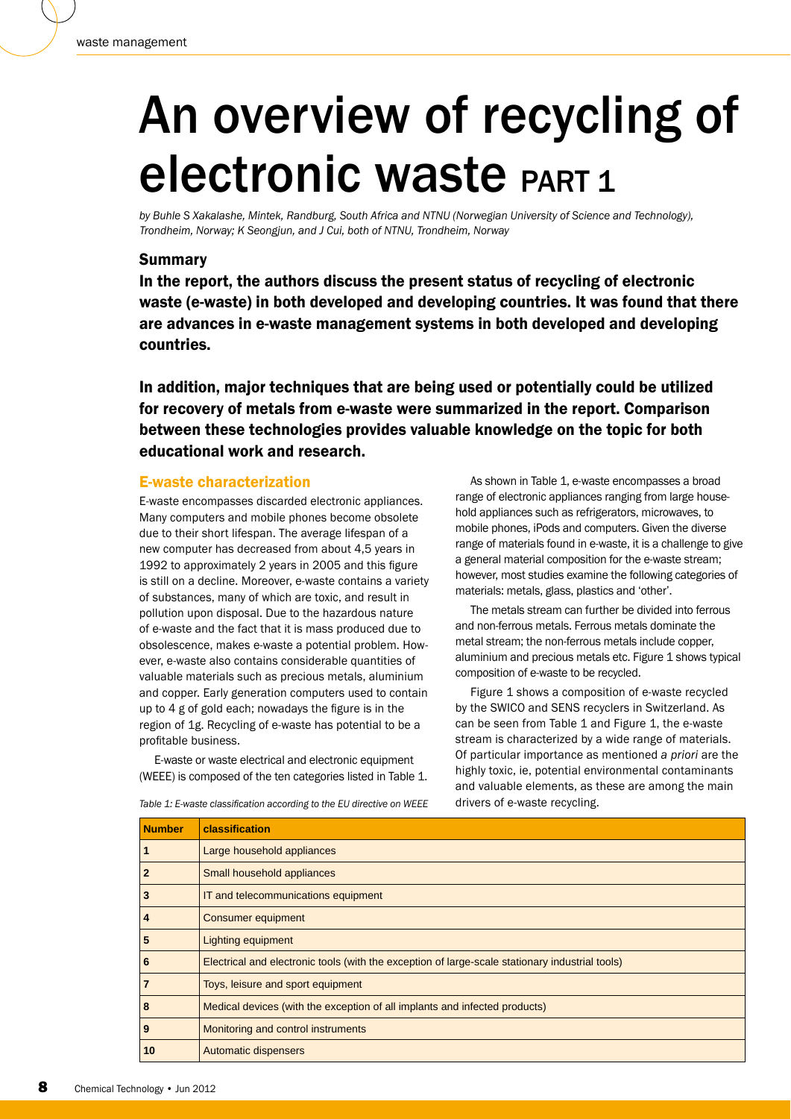# An overview of recycling of electronic waste PART 1

*by Buhle S Xakalashe, Mintek, Randburg, South Africa and NTNU (Norwegian University of Science and Technology), Trondheim, Norway; K Seongjun, and J Cui, both of NTNU, Trondheim, Norway*

## Summary

In the report, the authors discuss the present status of recycling of electronic waste (e-waste) in both developed and developing countries. It was found that there are advances in e-waste management systems in both developed and developing countries.

In addition, major techniques that are being used or potentially could be utilized for recovery of metals from e-waste were summarized in the report. Comparison between these technologies provides valuable knowledge on the topic for both educational work and research.

#### E-waste characterization

E-waste encompasses discarded electronic appliances. Many computers and mobile phones become obsolete due to their short lifespan. The average lifespan of a new computer has decreased from about 4,5 years in 1992 to approximately 2 years in 2005 and this figure is still on a decline. Moreover, e-waste contains a variety of substances, many of which are toxic, and result in pollution upon disposal. Due to the hazardous nature of e-waste and the fact that it is mass produced due to obsolescence, makes e-waste a potential problem. However, e-waste also contains considerable quantities of valuable materials such as precious metals, aluminium and copper. Early generation computers used to contain up to  $4 \not\in$  of gold each; nowadays the figure is in the region of 1g. Recycling of e-waste has potential to be a profitable business.

E-waste or waste electrical and electronic equipment (WEEE) is composed of the ten categories listed in Table 1.

As shown in Table 1, e-waste encompasses a broad range of electronic appliances ranging from large household appliances such as refrigerators, microwaves, to mobile phones, iPods and computers. Given the diverse range of materials found in e-waste, it is a challenge to give a general material composition for the e-waste stream; however, most studies examine the following categories of materials: metals, glass, plastics and 'other'.

The metals stream can further be divided into ferrous and non-ferrous metals. Ferrous metals dominate the metal stream; the non-ferrous metals include copper, aluminium and precious metals etc. Figure 1 shows typical composition of e-waste to be recycled.

Figure 1 shows a composition of e-waste recycled by the SWICO and SENS recyclers in Switzerland. As can be seen from Table 1 and Figure 1, the e-waste stream is characterized by a wide range of materials. Of particular importance as mentioned *a priori* are the highly toxic, ie, potential environmental contaminants and valuable elements, as these are among the main drivers of e-waste recycling.

| <b>Number</b> | classification                                                                                  |  |
|---------------|-------------------------------------------------------------------------------------------------|--|
|               | Large household appliances                                                                      |  |
|               | Small household appliances                                                                      |  |
| 3             | IT and telecommunications equipment                                                             |  |
| 4             | Consumer equipment                                                                              |  |
| 5             | <b>Lighting equipment</b>                                                                       |  |
| 6             | Electrical and electronic tools (with the exception of large-scale stationary industrial tools) |  |
|               | Toys, leisure and sport equipment                                                               |  |
| 8             | Medical devices (with the exception of all implants and infected products)                      |  |
| 9             | Monitoring and control instruments                                                              |  |
| 10            | <b>Automatic dispensers</b>                                                                     |  |

Table 1: E-waste classification according to the EU directive on WEEE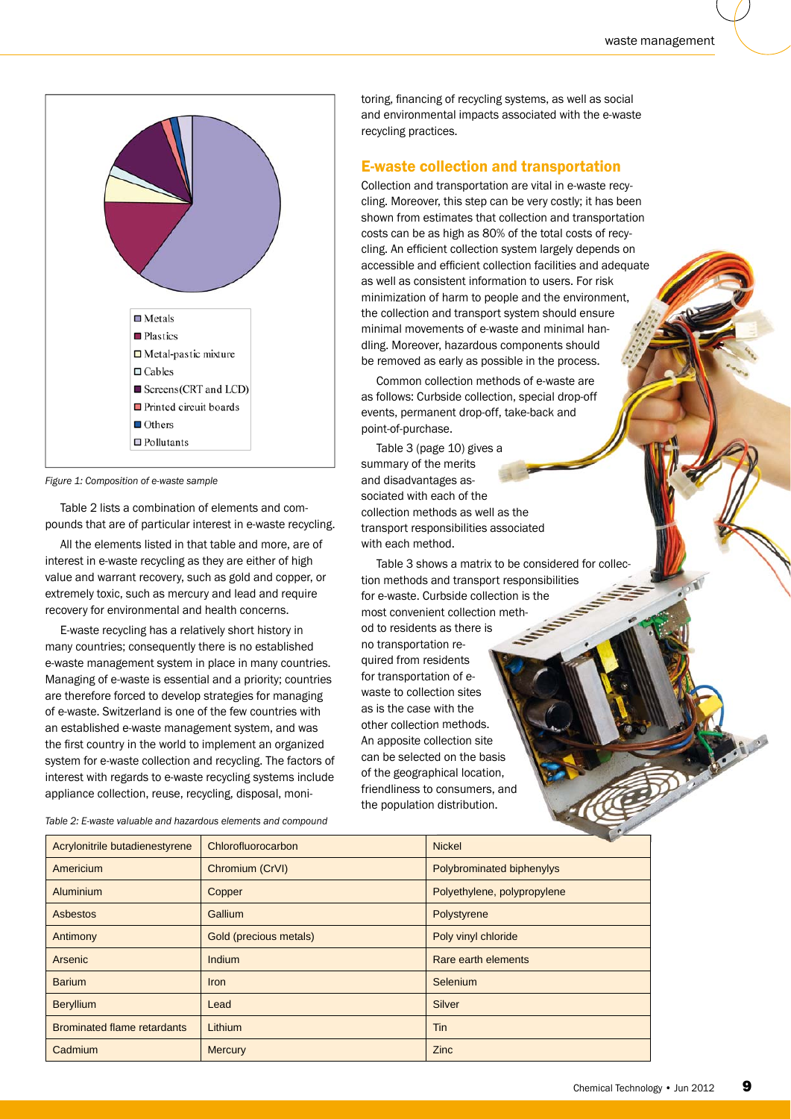

**Figure 1: Composition of e-waste sample** 

Table 2 lists a combination of elements and compounds that are of particular interest in e-waste recycling.

All the elements listed in that table and more, are of interest in e-waste recycling as they are either of high value and warrant recovery, such as gold and copper, or extremely toxic, such as mercury and lead and require recovery for environmental and health concerns.

E-waste recycling has a relatively short history in many countries; consequently there is no established e-waste management system in place in many countries. Managing of e-waste is essential and a priority; countries are therefore forced to develop strategies for managing of e-waste. Switzerland is one of the few countries with an established e-waste management system, and was the first country in the world to implement an organized system for e-waste collection and recycling. The factors of interest with regards to e-waste recycling systems include appliance collection, reuse, recycling, disposal, monitoring, financing of recycling systems, as well as social and environmental impacts associated with the e-waste recycling practices.

### E-waste collection and transportation

Collection and transportation are vital in e-waste recycling. Moreover, this step can be very costly; it has been shown from estimates that collection and transportation costs can be as high as 80% of the total costs of recycling. An efficient collection system largely depends on accessible and efficient collection facilities and adequate as well as consistent information to users. For risk minimization of harm to people and the environment, the collection and transport system should ensure minimal movements of e-waste and minimal handling. Moreover, hazardous components should be removed as early as possible in the process. s high as 80% of the total costs<br>ent collection system largely dep<br>d efficient collection facilities and<br>sistent information to users. For<br>of harm to people and the enviror<br>and transport system should ens<br>ments of e-waste

Common collection methods of e-waste are as follows: Curbside collection, special drop-off point-of-purchase.

events, permanent drop-off, take-back and<br>point-of-purchase.<br>Table 3 (page 10) gives a<br>summary of the merits<br>and disadvantages associated with each of the Table 3 (page 10) gives a summary of the merits and disadvantages associated with each of the collection methods as well as the transport responsibilities associated with each method.

Table 3 shows a matrix to be considered for collec-Table 3 shows a matrix to be considered<br>tion methods and transport responsibilities for e-waste. Curbside collection is the most convenient collection methfor e-waste. Curbside colle<br>most convenient collection<br>od to residents as there is no transportation required from residents for transportation of ewaste to collection sites as is the case with the other collection methods. An apposite collection site can be selected on the basis for transportation of e-<br>waste to collection sites<br>as is the case with the<br>other collection methods.<br>An apposite collection site<br>can be selected on the basis<br>of the geographical location, friendliness to consumers, and the population distribution.

| Acrylonitrile butadienestyrene     | Chlorofluorocarbon     | <b>Nickel</b>               |
|------------------------------------|------------------------|-----------------------------|
| Americium                          | Chromium (CrVI)        | Polybrominated biphenylys   |
| Aluminium                          | Copper                 | Polyethylene, polypropylene |
| Asbestos                           | Gallium                | Polystyrene                 |
| Antimony                           | Gold (precious metals) | Poly vinyl chloride         |
| Arsenic                            | Indium                 | Rare earth elements         |
| <b>Barium</b>                      | <b>Iron</b>            | Selenium                    |
| <b>Beryllium</b>                   | Lead                   | <b>Silver</b>               |
| <b>Brominated flame retardants</b> | Lithium                | Tin                         |
| Cadmium                            | <b>Mercury</b>         | <b>Zinc</b>                 |

*Ta ble 2: E-waste valuable and hazardous elements and compound*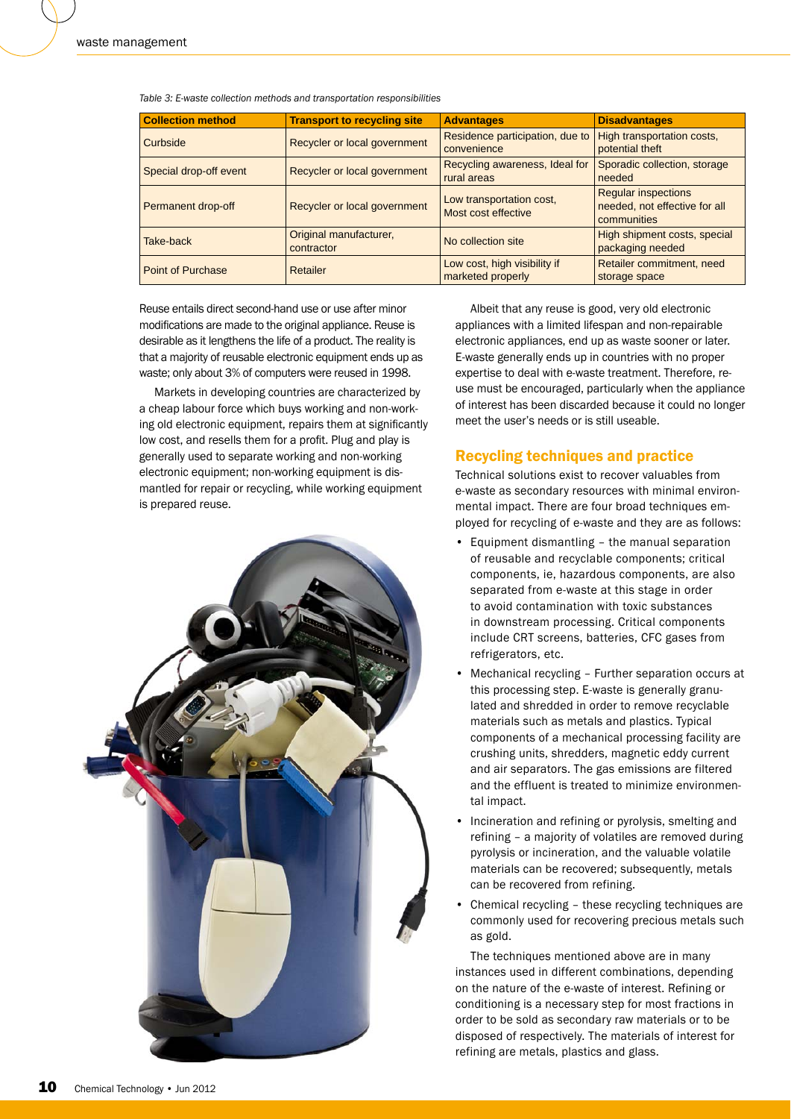| <b>Collection method</b> | <b>Transport to recycling site</b>   | <b>Advantages</b>                                 | <b>Disadvantages</b>                                                       |
|--------------------------|--------------------------------------|---------------------------------------------------|----------------------------------------------------------------------------|
| Curbside                 | Recycler or local government         | Residence participation, due to<br>convenience    | High transportation costs,<br>potential theft                              |
| Special drop-off event   | Recycler or local government         | Recycling awareness, Ideal for<br>rural areas     | Sporadic collection, storage<br>needed                                     |
| Permanent drop-off       | Recycler or local government         | Low transportation cost,<br>Most cost effective   | <b>Regular inspections</b><br>needed, not effective for all<br>communities |
| Take-back                | Original manufacturer,<br>contractor | No collection site                                | High shipment costs, special<br>packaging needed                           |
| <b>Point of Purchase</b> | Retailer                             | Low cost, high visibility if<br>marketed properly | Retailer commitment, need<br>storage space                                 |

*Tab le 3: E-waste collection methods and transportation responsibilities* 

Reuse entails direct second-hand use or use after minor modifications are made to the original appliance. Reuse is desirable as it lengthens the life of a product. The reality is that a majority of reusable electronic equipment ends up as waste; only about 3% of computers were reused in 1998.

Markets in developing countries are characterized by a cheap labour force which buys working and non-working old electronic equipment, repairs them at significantly low cost, and resells them for a profit. Plug and play is generally used to separate working and non-working electronic equipment; non-working equipment is dismantled for repair or recycling, while working equipment is prepared reuse.



Albeit that any reuse is good, very old electronic appliances with a limited lifespan and non-repairable electronic appliances, end up as waste sooner or later. E-waste generally ends up in countries with no proper expertise to deal with e-waste treatment. Therefore, reuse must be encouraged, particularly when the appliance of interest has been discarded because it could no longer meet the user's needs or is still useable.

## Recycling techniques and practice

Technical solutions exist to recover valuables from e-waste as secondary resources with minimal environmental impact. There are four broad techniques employed for recycling of e-waste and they are as follows:

- Equipment dismantling the manual separation of reusable and recyclable components; critical components, ie, hazardous components, are also separated from e-waste at this stage in order to avoid contamination with toxic substances in downstream processing. Critical components include CRT screens, batteries, CFC gases from refrigerators, etc.
- Mechanical recycling Further separation occurs at this processing step. E-waste is generally granulated and shredded in order to remove recyclable materials such as metals and plastics. Typical components of a mechanical processing facility are crushing units, shredders, magnetic eddy current and air separators. The gas emissions are filtered and the effluent is treated to minimize environmental impact.
- Incineration and refining or pyrolysis, smelting and refining – a majority of volatiles are removed during pyrolysis or incineration, and the valuable volatile materials can be recovered; subsequently, metals can be recovered from refining.
- Chemical recycling these recycling techniques are commonly used for recovering precious metals such as gold.

The techniques mentioned above are in many instances used in different combinations, depending on the nature of the e-waste of interest. Refining or conditioning is a necessary step for most fractions in order to be sold as secondary raw materials or to be disposed of respectively. The materials of interest for refining are metals, plastics and glass.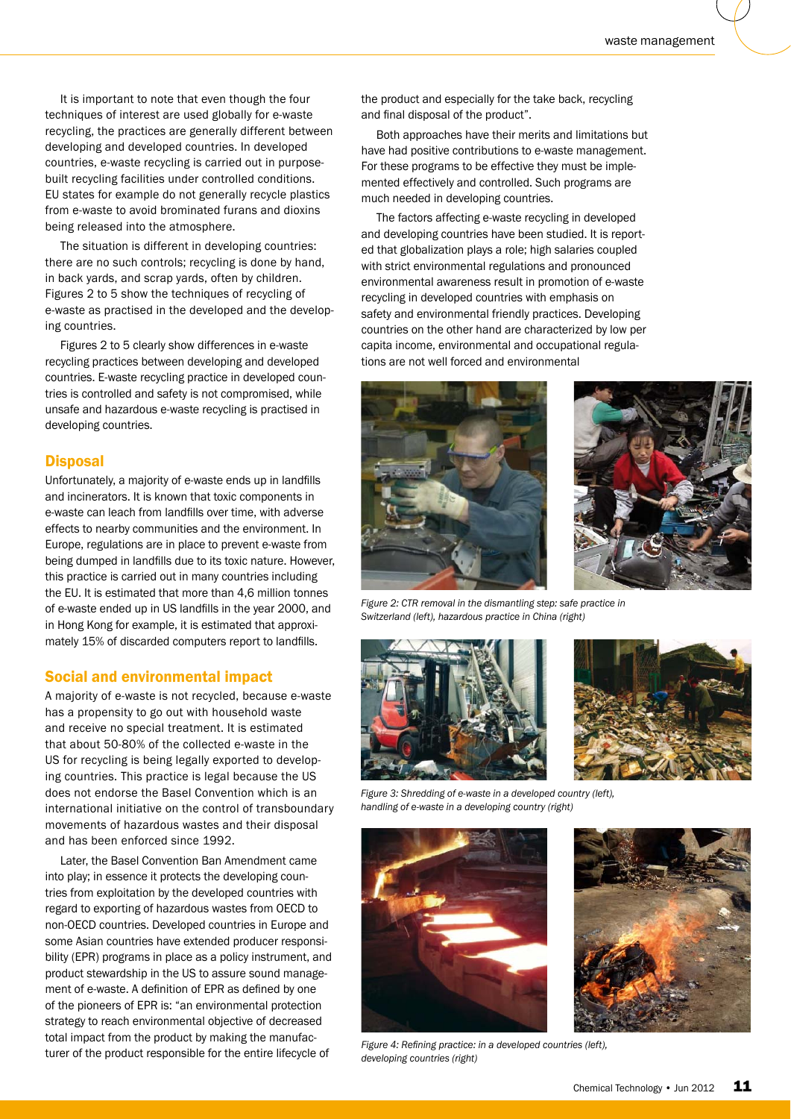It is important to note that even though the four techniques of interest are used globally for e-waste recycling, the practices are generally different between developing and developed countries. In developed countries, e-waste recycling is carried out in purposebuilt recycling facilities under controlled conditions. EU states for example do not generally recycle plastics from e-waste to avoid brominated furans and dioxins being released into the atmosphere.

The situation is different in developing countries: there are no such controls; recycling is done by hand, in back yards, and scrap yards, often by children. Figures 2 to 5 show the techniques of recycling of e-waste as practised in the developed and the developing countries.

Figures 2 to 5 clearly show differences in e-waste recycling practices between developing and developed countries. E-waste recycling practice in developed countries is controlled and safety is not compromised, while unsafe and hazardous e-waste recycling is practised in developing countries.

### **Disposal**

Unfortunately, a majority of e-waste ends up in landfills and incinerators. It is known that toxic components in e-waste can leach from landfills over time, with adverse effects to nearby communities and the environment. In Europe, regulations are in place to prevent e-waste from being dumped in landfills due to its toxic nature. However, this practice is carried out in many countries including the EU. It is estimated that more than 4,6 million tonnes of e-waste ended up in US landfills in the year 2000, and in Hong Kong for example, it is estimated that approximately 15% of discarded computers report to landfills.

#### Social and environmental impact

A majority of e-waste is not recycled, because e-waste has a propensity to go out with household waste and receive no special treatment. It is estimated that about 50-80% of the collected e-waste in the US for recycling is being legally exported to developing countries. This practice is legal because the US does not endorse the Basel Convention which is an international initiative on the control of transboundary movements of hazardous wastes and their disposal and has been enforced since 1992.

Later, the Basel Convention Ban Amendment came into play; in essence it protects the developing countries from exploitation by the developed countries with regard to exporting of hazardous wastes from OECD to non-OECD countries. Developed countries in Europe and some Asian countries have extended producer responsibility (EPR) programs in place as a policy instrument, and product stewardship in the US to assure sound management of e-waste. A definition of EPR as defined by one of the pioneers of EPR is: "an environmental protection strategy to reach environmental objective of decreased total impact from the product by making the manufacturer of the product responsible for the entire lifecycle of

the product and especially for the take back, recycling and final disposal of the product".

Both approaches have their merits and limitations but have had positive contributions to e-waste management. For these programs to be effective they must be implemented effectively and controlled. Such programs are much needed in developing countries.

The factors affecting e-waste recycling in developed and developing countries have been studied. It is reported that globalization plays a role; high salaries coupled with strict environmental regulations and pronounced environmental awareness result in promotion of e-waste recycling in developed countries with emphasis on safety and environmental friendly practices. Developing countries on the other hand are characterized by low per capita income, environmental and occupational regulations are not well forced and environmental





*Figure 2: CTR removal in the dismantling step: safe practice in Switzerland (left), hazardous practice in China (right)*





*Figure 3: Shredding of e-waste in a developed country (left), handling of e-waste in a developing country (right)*



*Figure 4: Refining practice: in a developed countries (left). developing countries (right)*